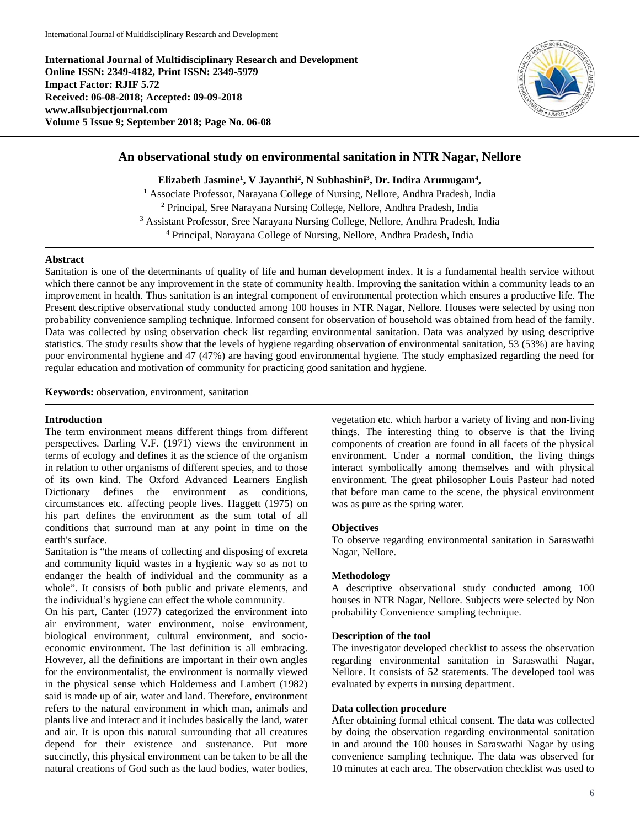**International Journal of Multidisciplinary Research and Development Online ISSN: 2349-4182, Print ISSN: 2349-5979 Impact Factor: RJIF 5.72 Received: 06-08-2018; Accepted: 09-09-2018 www.allsubjectjournal.com Volume 5 Issue 9; September 2018; Page No. 06-08**



# **An observational study on environmental sanitation in NTR Nagar, Nellore**

**Elizabeth Jasmine1 , V Jayanthi2 , N Subhashini3 , Dr. Indira Arumugam4 ,**

<sup>1</sup> Associate Professor, Narayana College of Nursing, Nellore, Andhra Pradesh, India Principal, Sree Narayana Nursing College, Nellore, Andhra Pradesh, India Assistant Professor, Sree Narayana Nursing College, Nellore, Andhra Pradesh, India Principal, Narayana College of Nursing, Nellore, Andhra Pradesh, India

### **Abstract**

Sanitation is one of the determinants of quality of life and human development index. It is a fundamental health service without which there cannot be any improvement in the state of community health. Improving the sanitation within a community leads to an improvement in health. Thus sanitation is an integral component of environmental protection which ensures a productive life. The Present descriptive observational study conducted among 100 houses in NTR Nagar, Nellore. Houses were selected by using non probability convenience sampling technique. Informed consent for observation of household was obtained from head of the family. Data was collected by using observation check list regarding environmental sanitation. Data was analyzed by using descriptive statistics. The study results show that the levels of hygiene regarding observation of environmental sanitation, 53 (53%) are having poor environmental hygiene and 47 (47%) are having good environmental hygiene. The study emphasized regarding the need for regular education and motivation of community for practicing good sanitation and hygiene.

**Keywords:** observation, environment, sanitation

## **Introduction**

The term environment means different things from different perspectives. Darling V.F. (1971) views the environment in terms of ecology and defines it as the science of the organism in relation to other organisms of different species, and to those of its own kind. The Oxford Advanced Learners English Dictionary defines the environment as conditions, circumstances etc. affecting people lives. Haggett (1975) on his part defines the environment as the sum total of all conditions that surround man at any point in time on the earth's surface.

Sanitation is "the means of collecting and disposing of excreta and community liquid wastes in a hygienic way so as not to endanger the health of individual and the community as a whole". It consists of both public and private elements, and the individual's hygiene can effect the whole community.

On his part, Canter (1977) categorized the environment into air environment, water environment, noise environment, biological environment, cultural environment, and socioeconomic environment. The last definition is all embracing. However, all the definitions are important in their own angles for the environmentalist, the environment is normally viewed in the physical sense which Holderness and Lambert (1982) said is made up of air, water and land. Therefore, environment refers to the natural environment in which man, animals and plants live and interact and it includes basically the land, water and air. It is upon this natural surrounding that all creatures depend for their existence and sustenance. Put more succinctly, this physical environment can be taken to be all the natural creations of God such as the laud bodies, water bodies,

vegetation etc. which harbor a variety of living and non-living things. The interesting thing to observe is that the living components of creation are found in all facets of the physical environment. Under a normal condition, the living things interact symbolically among themselves and with physical environment. The great philosopher Louis Pasteur had noted that before man came to the scene, the physical environment was as pure as the spring water.

#### **Objectives**

To observe regarding environmental sanitation in Saraswathi Nagar, Nellore.

## **Methodology**

A descriptive observational study conducted among 100 houses in NTR Nagar, Nellore. Subjects were selected by Non probability Convenience sampling technique.

### **Description of the tool**

The investigator developed checklist to assess the observation regarding environmental sanitation in Saraswathi Nagar, Nellore. It consists of 52 statements. The developed tool was evaluated by experts in nursing department.

## **Data collection procedure**

After obtaining formal ethical consent. The data was collected by doing the observation regarding environmental sanitation in and around the 100 houses in Saraswathi Nagar by using convenience sampling technique. The data was observed for 10 minutes at each area. The observation checklist was used to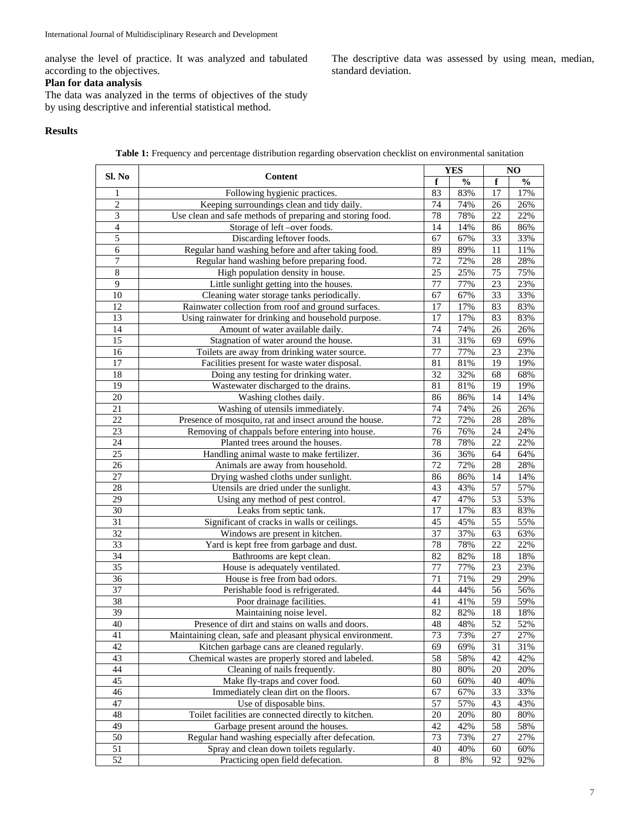analyse the level of practice. It was analyzed and tabulated according to the objectives.

## **Plan for data analysis**

The descriptive data was assessed by using mean, median, standard deviation.

The data was analyzed in the terms of objectives of the study by using descriptive and inferential statistical method.

## **Results**

**Table 1:** Frequency and percentage distribution regarding observation checklist on environmental sanitation

|                             | Content                                                    |                 | <b>YES</b>    |                 | NO            |  |
|-----------------------------|------------------------------------------------------------|-----------------|---------------|-----------------|---------------|--|
| Sl. No                      |                                                            | f               | $\frac{0}{0}$ | f               | $\frac{0}{0}$ |  |
| 1                           | Following hygienic practices.                              | 83              | 83%           | 17              | 17%           |  |
| $\overline{2}$              | Keeping surroundings clean and tidy daily.                 | 74              | 74%           | 26              | 26%           |  |
| $\ensuremath{\mathfrak{Z}}$ | Use clean and safe methods of preparing and storing food.  | 78              | 78%           | 22              | 22%           |  |
| $\overline{4}$              | Storage of left -over foods.                               | 14              | 14%           | 86              | 86%           |  |
| $\overline{5}$              | Discarding leftover foods.                                 | 67              | 67%           | 33              | 33%           |  |
| 6                           | Regular hand washing before and after taking food.         | 89              | 89%           | $\overline{11}$ | 11%           |  |
| 7                           | Regular hand washing before preparing food.                | 72              | 72%           | 28              | 28%           |  |
| $\overline{8}$              | High population density in house.                          | 25              | 25%           | 75              | 75%           |  |
| 9                           | Little sunlight getting into the houses.                   | 77              | 77%           | 23              | 23%           |  |
| 10                          | Cleaning water storage tanks periodically.                 | 67              | 67%           | $\overline{33}$ | 33%           |  |
| 12                          | Rainwater collection from roof and ground surfaces.        | 17              | 17%           | 83              | 83%           |  |
| 13                          | Using rainwater for drinking and household purpose.        | 17              | 17%           | 83              | 83%           |  |
| 14                          | Amount of water available daily.                           | 74              | 74%           | 26              | 26%           |  |
| 15                          | Stagnation of water around the house.                      | 31              | 31%           | 69              | 69%           |  |
| 16                          | Toilets are away from drinking water source.               | 77              | 77%           | 23              | 23%           |  |
| 17                          | Facilities present for waste water disposal.               | 81              | 81%           | 19              | 19%           |  |
| 18                          | Doing any testing for drinking water.                      | $\overline{32}$ | 32%           | 68              | 68%           |  |
| $\overline{19}$             | Wastewater discharged to the drains.                       | 81              | 81%           | 19              | 19%           |  |
| $\overline{20}$             | Washing clothes daily.                                     | 86              | 86%           | 14              | 14%           |  |
| 21                          | Washing of utensils immediately.                           | 74              | 74%           | 26              | 26%           |  |
| 22                          | Presence of mosquito, rat and insect around the house.     | 72              | 72%           | 28              | 28%           |  |
| 23                          | Removing of chappals before entering into house.           | 76              | 76%           | 24              | 24%           |  |
| 24                          | Planted trees around the houses.                           | 78              | 78%           | 22              | 22%           |  |
| 25                          | Handling animal waste to make fertilizer.                  | 36              | 36%           | 64              | 64%           |  |
| 26                          | Animals are away from household.                           | 72              | 72%           | 28              | 28%           |  |
| 27                          | Drying washed cloths under sunlight.                       | 86              | 86%           | 14              | 14%           |  |
| 28                          | Utensils are dried under the sunlight.                     | 43              | 43%           | 57              | 57%           |  |
| 29                          | Using any method of pest control.                          | 47              | 47%           | 53              | 53%           |  |
| 30                          | Leaks from septic tank.                                    | 17              | 17%           | 83              | 83%           |  |
| $\overline{31}$             | Significant of cracks in walls or ceilings.                | 45              | 45%           | 55              | 55%           |  |
| 32                          | Windows are present in kitchen.                            | 37              | 37%           | 63              | 63%           |  |
| $\overline{33}$             | Yard is kept free from garbage and dust.                   | 78              | 78%           | 22              | 22%           |  |
| 34                          | Bathrooms are kept clean.                                  | 82              | 82%           | 18              | 18%           |  |
| $\overline{35}$             | House is adequately ventilated.                            | 77              | 77%           | $\overline{23}$ | 23%           |  |
| 36                          | House is free from bad odors.                              | 71              | 71%           | 29              | 29%           |  |
| 37                          | Perishable food is refrigerated.                           | 44              | 44%           | $\overline{56}$ | 56%           |  |
| $\overline{38}$             | Poor drainage facilities.                                  | 41              | 41%           | 59              | 59%           |  |
| $\overline{39}$             | Maintaining noise level.                                   | 82              | 82%           | 18              | 18%           |  |
| 40                          | Presence of dirt and stains on walls and doors.            | 48              | 48%           | 52              | 52%           |  |
| 41                          | Maintaining clean, safe and pleasant physical environment. | 73              | 73%           | 27              | 27%           |  |
| 42                          | Kitchen garbage cans are cleaned regularly.                | 69              | 69%           | 31              | 31%           |  |
| 43                          | Chemical wastes are properly stored and labeled.           | 58              | 58%           | 42              | 42%           |  |
| 44                          | Cleaning of nails frequently.                              | 80              | 80%           | 20              | 20%           |  |
| 45                          | Make fly-traps and cover food.                             | 60              | 60%           | 40              | 40%           |  |
| 46                          | Immediately clean dirt on the floors.                      | 67              | 67%           | 33              | 33%           |  |
| 47                          | Use of disposable bins.                                    | 57              | 57%           | 43              | 43%           |  |
| 48                          | Toilet facilities are connected directly to kitchen.       | 20              | 20%           | 80              | 80%           |  |
| 49                          | Garbage present around the houses.                         | 42              | 42%           | 58              | 58%           |  |
| 50                          | Regular hand washing especially after defecation.          | 73              | 73%           | 27              | 27%           |  |
| 51                          | Spray and clean down toilets regularly.                    | 40              | 40%           | 60              | 60%           |  |
| $\overline{52}$             | Practicing open field defecation.                          | 8               | $8\%$         | 92              | 92%           |  |